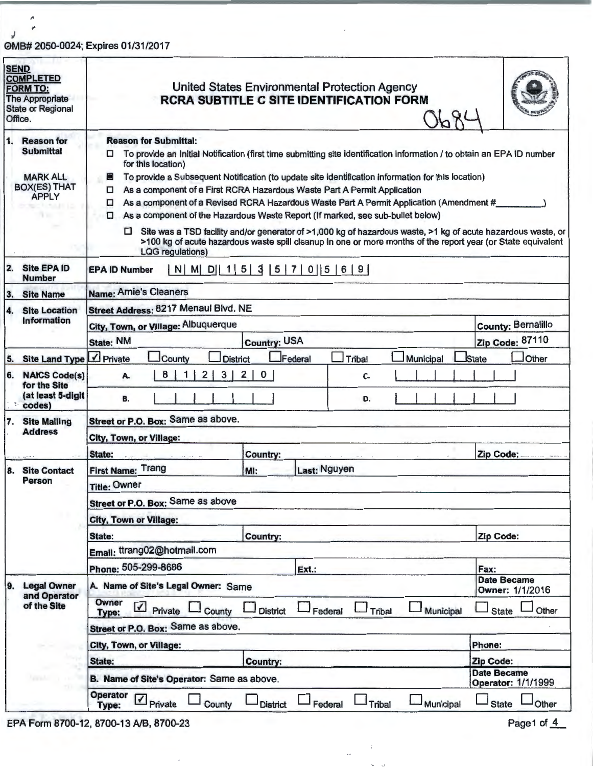## OMB# 2050-0024; Expires 01/31/2017

| <b>SEND</b><br><b>COMPLETED</b><br><b>FORM TO:</b><br>The Appropriate<br><b>State or Regional</b><br>Office.    | United States Environmental Protection Agency<br><b>RCRA SUBTITLE C SITE IDENTIFICATION FORM</b>                                                                                                                                                                                                                                                                                                                                                                                                                                                                                                                                                                                                                                                                                                                                      |                                          |  |  |  |  |
|-----------------------------------------------------------------------------------------------------------------|---------------------------------------------------------------------------------------------------------------------------------------------------------------------------------------------------------------------------------------------------------------------------------------------------------------------------------------------------------------------------------------------------------------------------------------------------------------------------------------------------------------------------------------------------------------------------------------------------------------------------------------------------------------------------------------------------------------------------------------------------------------------------------------------------------------------------------------|------------------------------------------|--|--|--|--|
| $\mathbf{1}$<br><b>Reason for</b><br><b>Submittal</b><br><b>MARK ALL</b><br><b>BOX(ES) THAT</b><br><b>APPLY</b> | <b>Reason for Submittal:</b><br>To provide an Initial Notification (first time submitting site identification information / to obtain an EPA ID number<br>0.<br>for this location)<br>To provide a Subsequent Notification (to update site identification information for this location)<br>$\Box$<br>As a component of a First RCRA Hazardous Waste Part A Permit Application<br>□<br>As a component of a Revised RCRA Hazardous Waste Part A Permit Application (Amendment #<br>□<br>As a component of the Hazardous Waste Report (If marked, see sub-bullet below)<br>Site was a TSD facility and/or generator of >1,000 kg of hazardous waste, >1 kg of acute hazardous waste, or<br>□<br>>100 kg of acute hazardous waste spill cleanup in one or more months of the report year (or State equivalent<br><b>LQG</b> regulations) |                                          |  |  |  |  |
| <b>Site EPA ID</b><br>2.<br><b>Number</b>                                                                       | N   M   D   1   5   3   5   7   0   5   6   9  <br><b>EPA ID Number</b>                                                                                                                                                                                                                                                                                                                                                                                                                                                                                                                                                                                                                                                                                                                                                               |                                          |  |  |  |  |
| 3.<br><b>Site Name</b>                                                                                          | Name: Arnie's Cleaners                                                                                                                                                                                                                                                                                                                                                                                                                                                                                                                                                                                                                                                                                                                                                                                                                |                                          |  |  |  |  |
| <b>Site Location</b><br>14.                                                                                     | Street Address: 8217 Menaul Blvd. NE                                                                                                                                                                                                                                                                                                                                                                                                                                                                                                                                                                                                                                                                                                                                                                                                  |                                          |  |  |  |  |
| Information                                                                                                     | City, Town, or Village: Albuquerque                                                                                                                                                                                                                                                                                                                                                                                                                                                                                                                                                                                                                                                                                                                                                                                                   | <b>County: Bernalillo</b>                |  |  |  |  |
|                                                                                                                 | <b>State: NM</b><br><b>Country: USA</b>                                                                                                                                                                                                                                                                                                                                                                                                                                                                                                                                                                                                                                                                                                                                                                                               | Zip Code: 87110                          |  |  |  |  |
| <b>Site Land Type</b><br>5.                                                                                     | $\sqrt{}$ Private<br>Federal<br>Tribal<br>County<br><b>District</b><br>Municipal                                                                                                                                                                                                                                                                                                                                                                                                                                                                                                                                                                                                                                                                                                                                                      | <b>State</b><br>Other                    |  |  |  |  |
| 6.<br><b>NAICS Code(s)</b><br>for the Site<br>(at least 5-digit<br>codes)                                       | 3<br>8<br>2<br>2 <br>$\mathbf{0}$<br>C.<br>A.<br>B.<br>D.                                                                                                                                                                                                                                                                                                                                                                                                                                                                                                                                                                                                                                                                                                                                                                             |                                          |  |  |  |  |
| <b>Site Mailing</b><br>17.<br><b>Address</b>                                                                    | Street or P.O. Box: Same as above.<br>City, Town, or Village:                                                                                                                                                                                                                                                                                                                                                                                                                                                                                                                                                                                                                                                                                                                                                                         |                                          |  |  |  |  |
|                                                                                                                 | State:<br><b>Country:</b>                                                                                                                                                                                                                                                                                                                                                                                                                                                                                                                                                                                                                                                                                                                                                                                                             | Zip Code:                                |  |  |  |  |
| 8. Site Contact<br><b>Person</b>                                                                                | First Name: Trang<br>Last: Nguyen<br>MI:                                                                                                                                                                                                                                                                                                                                                                                                                                                                                                                                                                                                                                                                                                                                                                                              |                                          |  |  |  |  |
|                                                                                                                 | <b>Title: Owner</b>                                                                                                                                                                                                                                                                                                                                                                                                                                                                                                                                                                                                                                                                                                                                                                                                                   |                                          |  |  |  |  |
|                                                                                                                 | Street or P.O. Box: Same as above                                                                                                                                                                                                                                                                                                                                                                                                                                                                                                                                                                                                                                                                                                                                                                                                     |                                          |  |  |  |  |
|                                                                                                                 | <b>City, Town or Village:</b>                                                                                                                                                                                                                                                                                                                                                                                                                                                                                                                                                                                                                                                                                                                                                                                                         |                                          |  |  |  |  |
|                                                                                                                 | State:<br><b>Country:</b>                                                                                                                                                                                                                                                                                                                                                                                                                                                                                                                                                                                                                                                                                                                                                                                                             | Zip Code:                                |  |  |  |  |
|                                                                                                                 | Email: ttrang02@hotmail.com                                                                                                                                                                                                                                                                                                                                                                                                                                                                                                                                                                                                                                                                                                                                                                                                           |                                          |  |  |  |  |
|                                                                                                                 | Phone: 505-299-8686<br>Ext.:                                                                                                                                                                                                                                                                                                                                                                                                                                                                                                                                                                                                                                                                                                                                                                                                          | Fax:<br><b>Date Became</b>               |  |  |  |  |
| 9.<br><b>Legal Owner</b><br>and Operator<br>of the Site                                                         | A. Name of Site's Legal Owner: Same                                                                                                                                                                                                                                                                                                                                                                                                                                                                                                                                                                                                                                                                                                                                                                                                   | Owner: 1/1/2016                          |  |  |  |  |
|                                                                                                                 | Owner<br>$\n  Private\n$<br>County<br><b>District</b><br>Federal<br>Tribal<br>Municipal<br>Type:                                                                                                                                                                                                                                                                                                                                                                                                                                                                                                                                                                                                                                                                                                                                      | Other<br><b>State</b>                    |  |  |  |  |
|                                                                                                                 | Street or P.O. Box: Same as above.                                                                                                                                                                                                                                                                                                                                                                                                                                                                                                                                                                                                                                                                                                                                                                                                    |                                          |  |  |  |  |
|                                                                                                                 | <b>City, Town, or Village:</b>                                                                                                                                                                                                                                                                                                                                                                                                                                                                                                                                                                                                                                                                                                                                                                                                        | Phone:                                   |  |  |  |  |
|                                                                                                                 | State:<br><b>Country:</b>                                                                                                                                                                                                                                                                                                                                                                                                                                                                                                                                                                                                                                                                                                                                                                                                             | Zip Code:                                |  |  |  |  |
|                                                                                                                 | B. Name of Site's Operator: Same as above.                                                                                                                                                                                                                                                                                                                                                                                                                                                                                                                                                                                                                                                                                                                                                                                            | <b>Date Became</b><br>Operator: 1/1/1999 |  |  |  |  |
|                                                                                                                 | Operator 7 Private<br>Tribal<br>County<br>Federal<br><b>District</b><br>Municipal                                                                                                                                                                                                                                                                                                                                                                                                                                                                                                                                                                                                                                                                                                                                                     | State<br>Other                           |  |  |  |  |

 $\tilde{\tilde{\epsilon}}$ 

EPA Form 8700-12, 8700-13 A/B, 8700-23

Page1 of 4

y

 $\hat{\phantom{a}}$ ø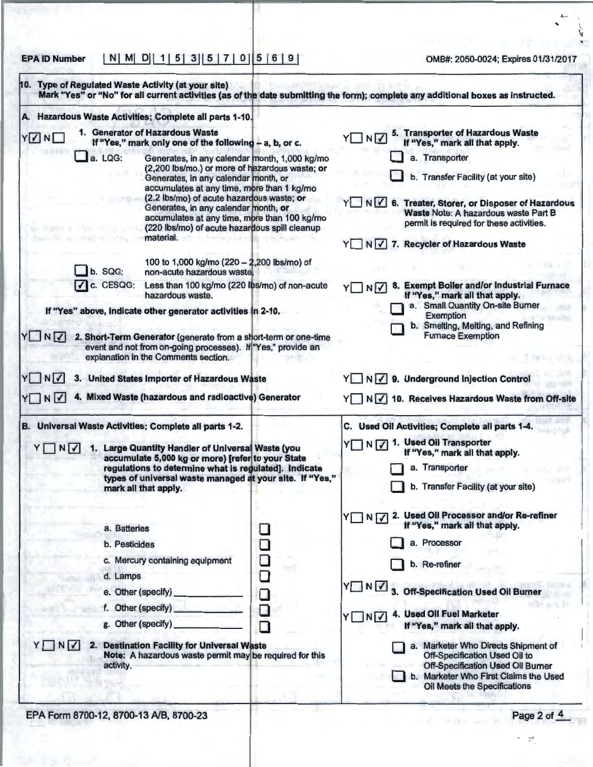EPA ID Number I NI Ml 01 I 1 I 5 I 3 I I 5 I 7 I 0 I s I 6 I 9 I OMB#: 2050-0024; Expires 01/31/2017

 $\lambda$  $\ddot{\phantom{a}}$ 

'

| A. Hazardous Waste Activities; Complete all parts 1-10.                                                                                                                                                                                                                                                                                                                                                                                                                                                                                                                                                                                                                                                                                                                                                                                                                                                       |                                 |                                                                                                                                                                                                                                                                                                                                                                                                                                                                                                                                  |
|---------------------------------------------------------------------------------------------------------------------------------------------------------------------------------------------------------------------------------------------------------------------------------------------------------------------------------------------------------------------------------------------------------------------------------------------------------------------------------------------------------------------------------------------------------------------------------------------------------------------------------------------------------------------------------------------------------------------------------------------------------------------------------------------------------------------------------------------------------------------------------------------------------------|---------------------------------|----------------------------------------------------------------------------------------------------------------------------------------------------------------------------------------------------------------------------------------------------------------------------------------------------------------------------------------------------------------------------------------------------------------------------------------------------------------------------------------------------------------------------------|
| 1. Generator of Hazardous Waste<br>YVNI<br>If "Yes," mark only one of the following - a, b, or c.<br>$\Box$ a. LQG:<br>Generates, in any calendar month, 1,000 kg/mo<br>(2,200 lbs/mo.) or more of hazardous waste; or<br>Generates, in any calendar month, or<br>accumulates at any time, more than 1 kg/mo<br>(2.2 lbs/mo) of acute hazardous waste; or<br>Generates, in any calendar month, or<br>accumulates at any time, more than 100 kg/mo<br>(220 lbs/mo) of acute hazardous spill cleanup<br>material.<br>100 to 1,000 kg/mo (220 - 2,200 lbs/mo) of<br>b. SQG:<br>non-acute hazardous waste.<br>$\sqrt{c}$ . CESQG:<br>Less than 100 kg/mo (220 lbs/mo) of non-acute<br>hazardous waste.<br>If "Yes" above, indicate other generator activities in 2-10.<br>YUNV<br>2. Short-Term Generator (generate from a short-term or one-time<br>event and not from on-going processes). If "Yes," provide an |                                 | 5. Transporter of Hazardous Waste<br>YINV<br>If "Yes," mark all that apply.<br>a. Transporter<br>b. Transfer Facility (at your site)<br>Y N V 6. Treater, Storer, or Disposer of Hazardous<br>Waste Note: A hazardous waste Part B<br>permit is required for these activities.<br>Y N V 7. Recycler of Hazardous Waste<br>8. Exempt Boiler and/or Industrial Furnace<br>YIN<br>If "Yes," mark all that apply.<br>a. Small Quantity On-site Burner<br>Exemption<br>b. Smelting, Melting, and Refining<br><b>Furnace Exemption</b> |
| YINV<br>United States Importer of Hazardous Waste<br>4. Mixed Waste (hazardous and radioactive) Generator<br>YOND<br>B. Universal Waste Activities; Complete all parts 1-2.                                                                                                                                                                                                                                                                                                                                                                                                                                                                                                                                                                                                                                                                                                                                   |                                 | Y N V 9. Underground Injection Control<br>Y N V 10. Receives Hazardous Waste from Off-site<br>C. Used Oil Activities; Complete all parts 1-4.                                                                                                                                                                                                                                                                                                                                                                                    |
| YONDY<br>1. Large Quantity Handler of Universal Waste (you<br>accumulate 5,000 kg or more) [refer to your State<br>regulations to determine what is regulated]. Indicate<br>types of universal waste managed at your site. If "Yes,"<br>mark all that apply.                                                                                                                                                                                                                                                                                                                                                                                                                                                                                                                                                                                                                                                  |                                 | Y N V 1. Used Oil Transporter<br>If "Yes," mark all that apply.<br>a. Transporter<br>b. Transfer Facility (at your site)                                                                                                                                                                                                                                                                                                                                                                                                         |
| a. Batteries<br>b. Pesticides<br>c. Mercury containing equipment<br>d. Lamps<br>e. Other (specify)<br>f. Other (specify)<br>g. Other (specify)<br><b>Destination Facility for Universal Waste</b><br>YINV<br>2.                                                                                                                                                                                                                                                                                                                                                                                                                                                                                                                                                                                                                                                                                               | □<br>□<br>❏<br>❏<br>$\Box$<br>П | 2. Used Oil Processor and/or Re-refiner<br>YUNV<br>If "Yes," mark all that apply.<br>a. Processor<br>b. Re-refiner<br>YNY<br>3. Off-Specification Used Oil Burner<br>4. Used Oil Fuel Marketer<br>YINV<br>If "Yes," mark all that apply.<br>a. Marketer Who Directs Shipment of<br>Off-Specification Used Oil to                                                                                                                                                                                                                 |
| Note: A hazardous waste permit may be required for this                                                                                                                                                                                                                                                                                                                                                                                                                                                                                                                                                                                                                                                                                                                                                                                                                                                       |                                 | Off-Specification Used Oil Bumer                                                                                                                                                                                                                                                                                                                                                                                                                                                                                                 |

.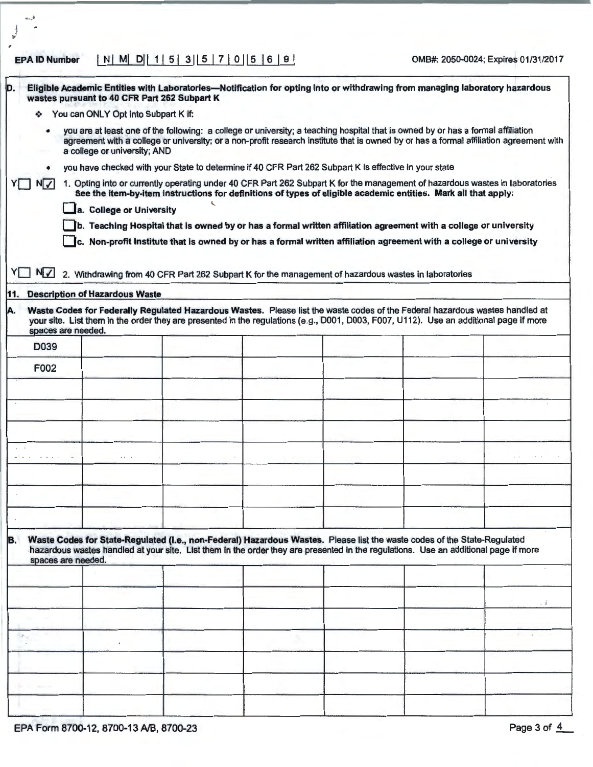## EPA ID Number I NI Ml DI I 1 I 5 I 3 I I 5 I 7 I 0 11 s I 6 I 9 I OMB#: 2050-0024; Expires 01/31/2017

-·

| D.                        | wastes pursuant to 40 CFR Part 262 Subpart K                                                                                                                                                                                                                                                                                                                                                                                                                                                                                                                                                                                  |  |  | Eligible Academic Entities with Laboratories-Notification for opting into or withdrawing from managing laboratory hazardous                                                                                                                                                |  |              |  |
|---------------------------|-------------------------------------------------------------------------------------------------------------------------------------------------------------------------------------------------------------------------------------------------------------------------------------------------------------------------------------------------------------------------------------------------------------------------------------------------------------------------------------------------------------------------------------------------------------------------------------------------------------------------------|--|--|----------------------------------------------------------------------------------------------------------------------------------------------------------------------------------------------------------------------------------------------------------------------------|--|--------------|--|
| ❖                         | You can ONLY Opt into Subpart K if:                                                                                                                                                                                                                                                                                                                                                                                                                                                                                                                                                                                           |  |  |                                                                                                                                                                                                                                                                            |  |              |  |
|                           | a college or university; AND                                                                                                                                                                                                                                                                                                                                                                                                                                                                                                                                                                                                  |  |  | you are at least one of the following: a college or university; a teaching hospital that is owned by or has a formal affiliation<br>agreement with a college or university; or a non-profit research institute that is owned by or has a formal affiliation agreement with |  |              |  |
|                           |                                                                                                                                                                                                                                                                                                                                                                                                                                                                                                                                                                                                                               |  |  | you have checked with your State to determine if 40 CFR Part 262 Subpart K is effective in your state                                                                                                                                                                      |  |              |  |
| $N$ $\checkmark$          | 1. Opting into or currently operating under 40 CFR Part 262 Subpart K for the management of hazardous wastes in laboratories<br>See the item-by-item instructions for definitions of types of eligible academic entities. Mark all that apply:<br>a. College or University<br>b. Teaching Hospital that is owned by or has a formal written affiliation agreement with a college or university<br>c. Non-profit Institute that is owned by or has a formal written affiliation agreement with a college or university<br>2. Withdrawing from 40 CFR Part 262 Subpart K for the management of hazardous wastes in laboratories |  |  |                                                                                                                                                                                                                                                                            |  |              |  |
| YUNV                      |                                                                                                                                                                                                                                                                                                                                                                                                                                                                                                                                                                                                                               |  |  |                                                                                                                                                                                                                                                                            |  |              |  |
| 11.                       | <b>Description of Hazardous Waste</b>                                                                                                                                                                                                                                                                                                                                                                                                                                                                                                                                                                                         |  |  |                                                                                                                                                                                                                                                                            |  |              |  |
| IA.<br>spaces are needed. |                                                                                                                                                                                                                                                                                                                                                                                                                                                                                                                                                                                                                               |  |  | Waste Codes for Federally Regulated Hazardous Wastes. Please list the waste codes of the Federal hazardous wastes handled at<br>your site. List them in the order they are presented in the regulations (e.g., D001, D003, F007, U112). Use an additional page if more     |  |              |  |
| D039                      |                                                                                                                                                                                                                                                                                                                                                                                                                                                                                                                                                                                                                               |  |  |                                                                                                                                                                                                                                                                            |  |              |  |
| F002                      |                                                                                                                                                                                                                                                                                                                                                                                                                                                                                                                                                                                                                               |  |  |                                                                                                                                                                                                                                                                            |  |              |  |
|                           |                                                                                                                                                                                                                                                                                                                                                                                                                                                                                                                                                                                                                               |  |  |                                                                                                                                                                                                                                                                            |  |              |  |
|                           |                                                                                                                                                                                                                                                                                                                                                                                                                                                                                                                                                                                                                               |  |  |                                                                                                                                                                                                                                                                            |  |              |  |
|                           |                                                                                                                                                                                                                                                                                                                                                                                                                                                                                                                                                                                                                               |  |  |                                                                                                                                                                                                                                                                            |  |              |  |
|                           |                                                                                                                                                                                                                                                                                                                                                                                                                                                                                                                                                                                                                               |  |  |                                                                                                                                                                                                                                                                            |  |              |  |
|                           |                                                                                                                                                                                                                                                                                                                                                                                                                                                                                                                                                                                                                               |  |  |                                                                                                                                                                                                                                                                            |  |              |  |
|                           |                                                                                                                                                                                                                                                                                                                                                                                                                                                                                                                                                                                                                               |  |  |                                                                                                                                                                                                                                                                            |  |              |  |
| B.<br>spaces are needed.  |                                                                                                                                                                                                                                                                                                                                                                                                                                                                                                                                                                                                                               |  |  | Waste Codes for State-Regulated (i.e., non-Federal) Hazardous Wastes. Please list the waste codes of the State-Regulated<br>hazardous wastes handled at your site. List them in the order they are presented in the regulations. Use an additional page if more            |  |              |  |
|                           |                                                                                                                                                                                                                                                                                                                                                                                                                                                                                                                                                                                                                               |  |  |                                                                                                                                                                                                                                                                            |  |              |  |
|                           |                                                                                                                                                                                                                                                                                                                                                                                                                                                                                                                                                                                                                               |  |  |                                                                                                                                                                                                                                                                            |  | $\mathbf{1}$ |  |
|                           |                                                                                                                                                                                                                                                                                                                                                                                                                                                                                                                                                                                                                               |  |  |                                                                                                                                                                                                                                                                            |  |              |  |
| $\mathcal{A}_i$           |                                                                                                                                                                                                                                                                                                                                                                                                                                                                                                                                                                                                                               |  |  |                                                                                                                                                                                                                                                                            |  |              |  |
|                           |                                                                                                                                                                                                                                                                                                                                                                                                                                                                                                                                                                                                                               |  |  |                                                                                                                                                                                                                                                                            |  |              |  |
|                           |                                                                                                                                                                                                                                                                                                                                                                                                                                                                                                                                                                                                                               |  |  |                                                                                                                                                                                                                                                                            |  |              |  |
|                           |                                                                                                                                                                                                                                                                                                                                                                                                                                                                                                                                                                                                                               |  |  |                                                                                                                                                                                                                                                                            |  |              |  |